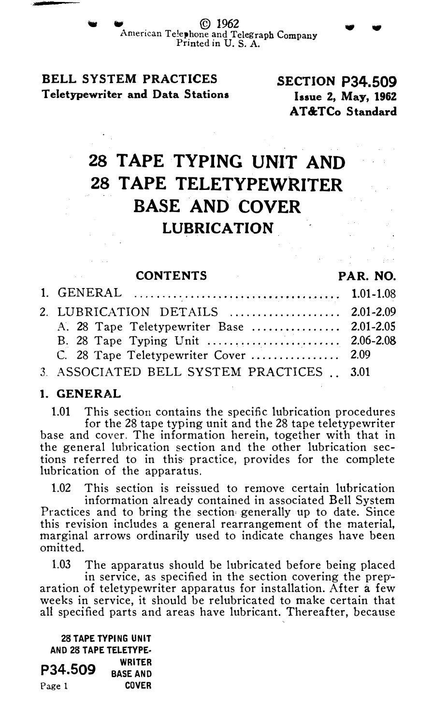$\odot$  1962 American Te!ephone and Telegraph Company Printed in U. S. A.

BELL SYSTEM PRACTICES Teletypewriter and Data Stations

SECTION P34.509 Issue 2, May, 1962 AT&TCo Standard

# 28 TAPE TYPING UNIT AND 28 TAPE TELETYPEWRITER BASE AND COVER LUBRICATION

| <b>CONTENTS</b><br>and the company of the | PAR. NO. |
|-------------------------------------------|----------|
|                                           |          |
| 2. LUBRICATION DETAILS  2.01-2.09         |          |
| A. 28 Tape Teletypewriter Base  2.01-2.05 |          |
|                                           |          |
| C. 28 Tape Teletypewriter Cover  2.09     |          |
| 3. ASSOCIATED BELL SYSTEM PRACTICES  3.01 |          |

#### 1. GENERAL

1.01 This section contains the specific lubrication procedures for the 28 tape typing unit and the 28 tape teletypewriter base and cover. The information herein, together with that in the general lubrication section and the other lubrication sections referred to in this practice, provides for the complete lubrication of the apparatus.

1.02 This section is reissued to remove certain lubrication information already contained in associated Bell System Practices and to bring the section generally up to date. Since this revision includes a general rearrangement of the material, marginal arrows ordinarily used to indicate changes have been omitted.

1.03 The apparatus should be lubricated before being placed

in service, as specified in the section covering the preparation of teletypewriter apparatus for installation. After a few weeks in service, it should be relubricated to make certain that all specified parts and areas have lubricant. Thereafter, because

28 TAPE TYPING UNIT AND 28 TAPE TELETYPE· WRITER<br>BASE AND Page 1 COVER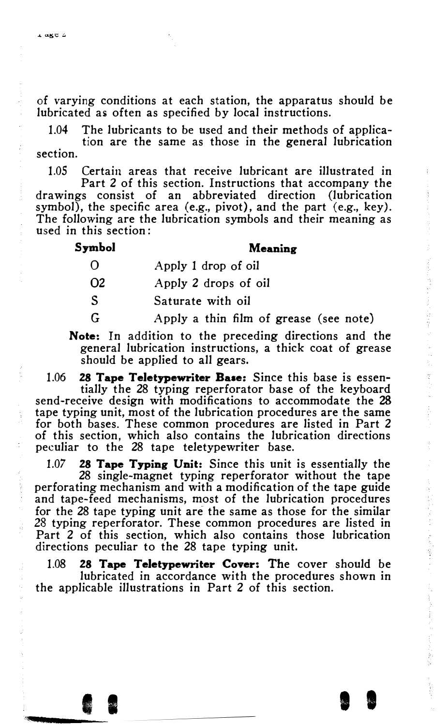of varying conditions at each station, the apparatus should be lubricated as often as specified by local instructions.

1.04 The lubricants to be used and their methods of application are the same as those in the general lubrication

section.

1.05 Certain areas that receive lubricant are illustrated in

Part 2 of this section. Instructions that accompany the drawings consist of an abbreviated direction (lubrication symbol), the specific area (e.g., pivot), and the part (e.g., key). The following are the lubrication symbols and their meaning as used in this section :

#### Symbol

··

#### Meaning

 $\Omega$ Apply 1 drop of oil

02 Apply 2 drops of oil

s Saturate with oil

G Apply a thin film of grease (see note)

Note: In addition to the preceding directions and the general lubrication instructions, a thick coat of grease should be applied to all gears.

1.06 28 Tape Teletypewriter Base: Since this base is essentially the 28 typing reperforator base of the keyboard send-receive design with modifications to accommodate the 28 tape typing unit, most of the lubrication procedures are the same for both bases. These common procedures are listed in Part 2 of this section, which also contains the lubrication directions peculiar to the 28 tape teletypewriter base.

1.07 28 Tape Typing Unit: Since this unit is essentially the 28 single-magnet typing reperforator without the tape perforating mechanism and with a modification of the tape guide and tape-feed mechanisms, most of the lubrication procedures for the 28 tape typing unit are the same as those for the similar 28 typing reperforator. These common procedures are listed in Part 2 of this section, which also contains those lubrication directions peculiar to the 28 tape typing unit.

1.08 28 Tape Teletypewriter Cover: The cover should be lubricated in accordance with the procedures shown in the applicable illustrations in Part 2 of this section.

I I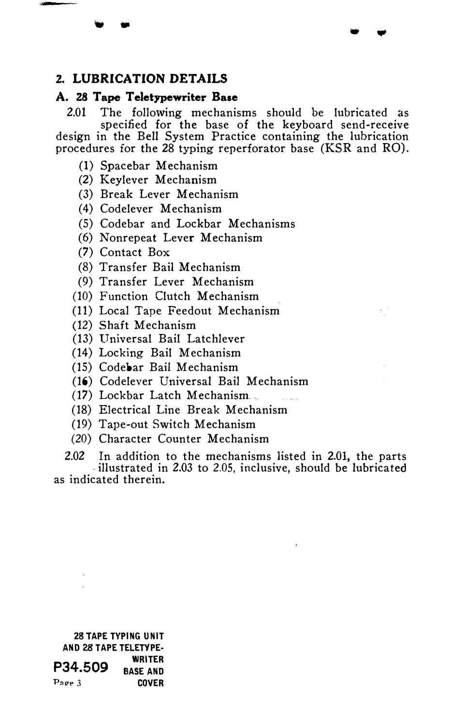## 2. LUBRICATION DETAILS

- ..

#### A. 28 Tape Teletypewriter Base

2.01 The following mechanisms should be lubricated as specified for the base of the keyboard send-receive design in the Bell System Practice containing the lubrication procedures for the 28 typing reperforator base (KSR and RO).

. .

- (I) Spacebar Mechanism
- (2) Keylever Mechanism
- (3) Break Lever Mechanism
- (4) Codelever Mechanism
- (5) Codebar and Lockbar Mechanisms
- (6) Nonrepeat Lever Mechanism
- (7) Contact Box
- (8) Transfer Bail Mechanism
- (9) Transfer Lever Mechanism
- (10) Function Clutch Mechanism
- (11) Local Tape Feedout Mechanism
- (12) Shaft Mechanism
- (13) Universal Bail Latchlever
- (14) Locking Bail Mechanism
- (15) Codebar Bail Mechanism
- (16) Codelever Universal Bail Mechanism
- (17) Lockbar Latch Mechanism.
- (18) Electrical Line Break Mechanism
- (19) Tape-out Switch Mechanism
- (20) Character Counter Mechanism

2.02 In addition to the mechanisms listed in 2.01, the parts illustrated in 2.03 to 2.05, inclusive, should be lubricated as indicated therein.

|                       | <b>28 TAPE TYPING UNIT</b> |  |  |
|-----------------------|----------------------------|--|--|
| AND 28 TAPE TELETYPE- |                            |  |  |
|                       | <b>WRITER</b>              |  |  |
| P34.509               | <b>BASE AND</b>            |  |  |
| Page 3                | COVER                      |  |  |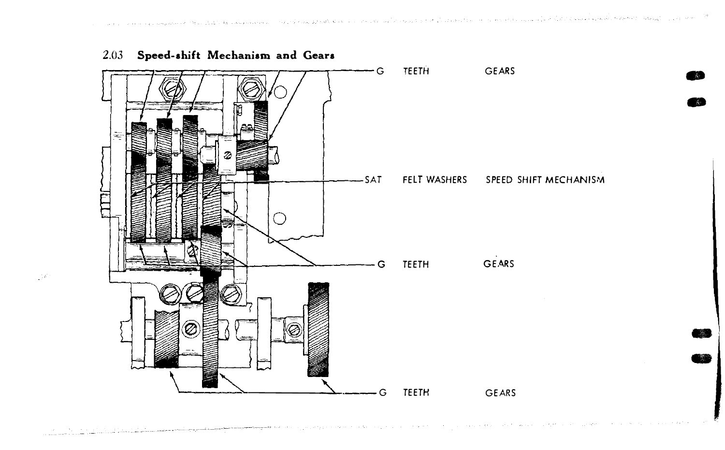ĸ





140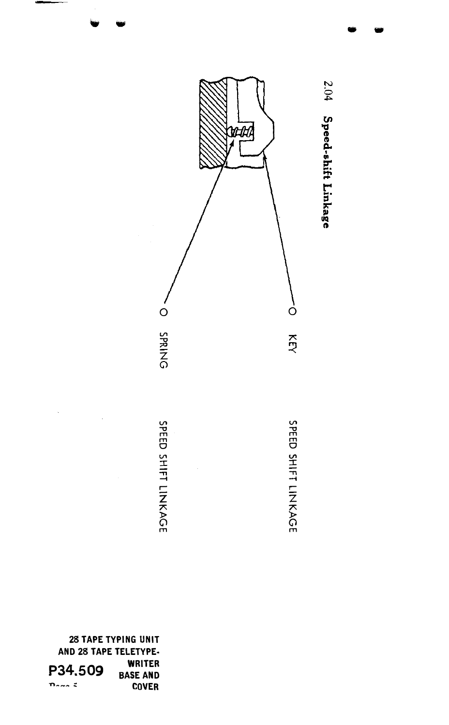

2.04 Speed-shift Linkage

28 TAPE TYPING UNIT AND 28 TAPE TELETYPE-**WRITER** P34.509 **BASE AND COVER**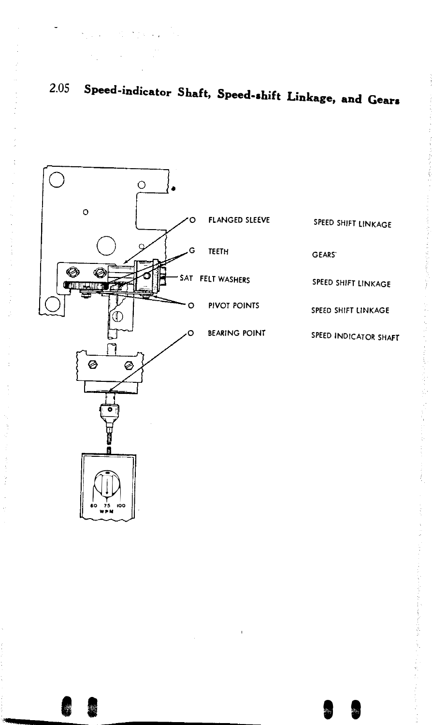

Report Follows

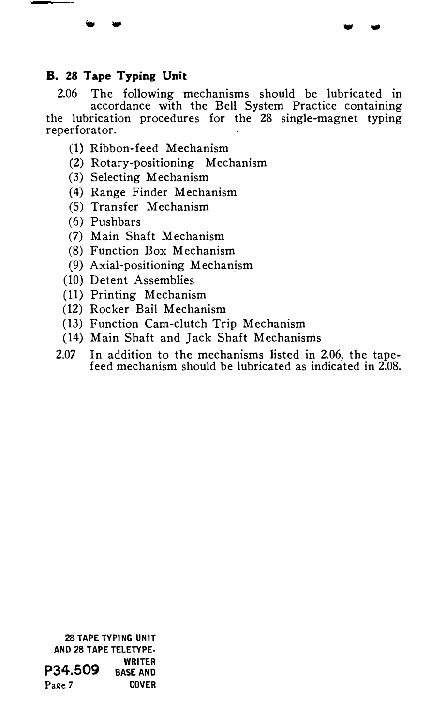### B. 28 Tape Typing Unit

2.06 The following mechanisms should be lubricated in accordance with the Bell System Practice containing the lubrication procedures for the 28 single-magnet typing reperforator.

w w

- (1) Ribbon-feed Mechanism
- (2) Rotary-positioning Mechanism
- (3) Selecting Mechanism
- (4) Range Finder Mechanism
- (5) Transfer Mechanism
- (6) Pushbars
- (7) Main Shaft Mechanism
- (8) Function Box Mechanism
- (9) Axial-positioning Mechanism
- (10) Detent Assemblies
- (11) Printing Mechanism
- (12) Rocker Bail Mechanism
- (13) Function Cam-clutch Trip Mechanism
- (14) Main Shaft and Jack Shaft Mechanisms
- 2.07 In addition to the mechanisms listed in 2.06, the tapefeed mechanism should be lubricated as indicated in 2.08.

28 TAPE TYPING UNIT AND 28 TAPE TELETYPE· WRITER<br>P34.509 BASE AND Page 7 COVER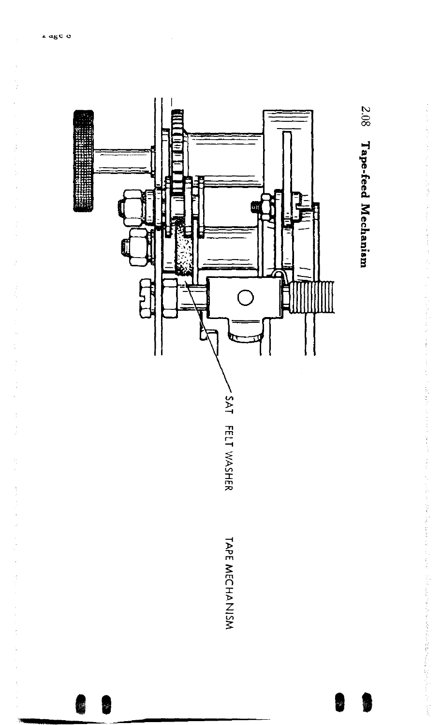

こうしゅ しょうじゅう かいかん しゅうきょう あから こうぼうきょう ハンド

化乙基苯基 医心包的 医二乙酸 医二乙酸 医二乙酸 医二乙酸 医二乙酸 医白色 医血管 医心包 医二次反应 医阿尔德氏试验检尿道 医血管 医血管 医血管 医血管 医心理学 医心理学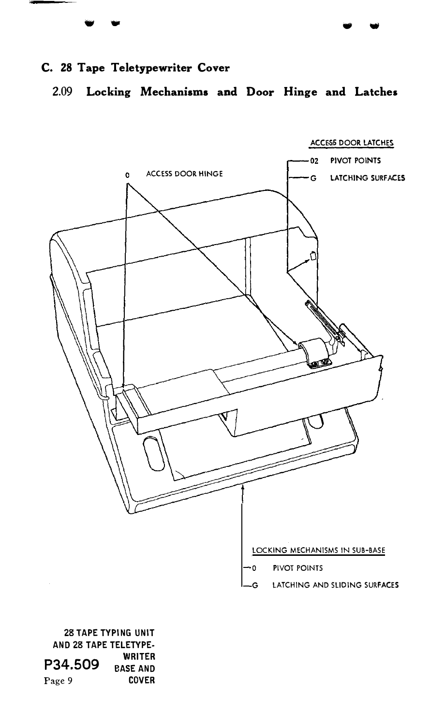$\mathbf{v}$  .

## C. 28 Tape Teletypewriter Cover

2.09 Locking Mechanisms and Door Hinge and Latches

. .



28 TAPE TYPING UNIT AND 28 TAPE TELETYPE-**P34.509** BASE AND<br>Page 9 COVER Page 9